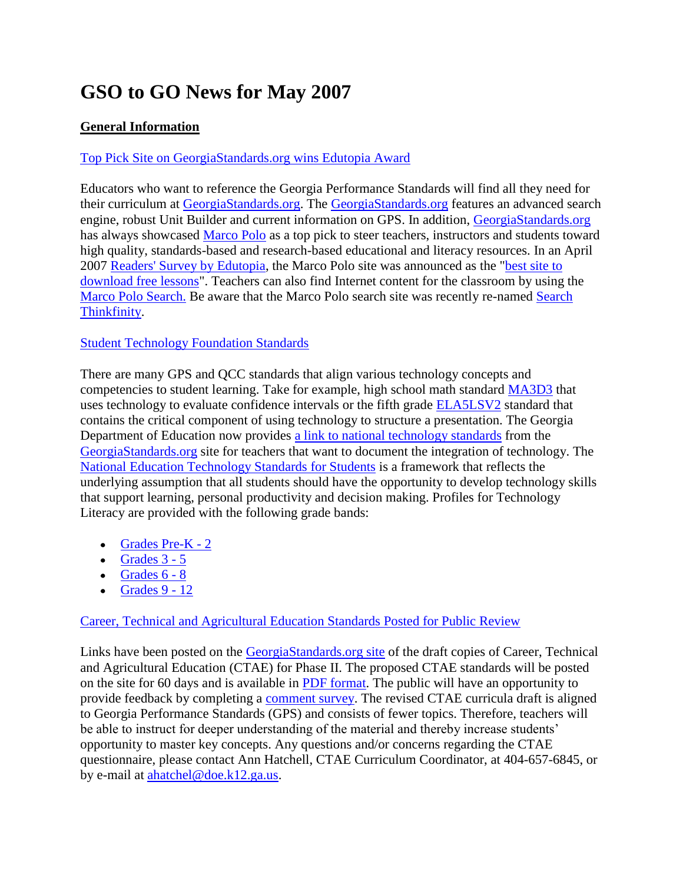# **GSO to GO News for May 2007**

## **General Information**

## [Top Pick Site on GeorgiaStandards.org wins Edutopia Award](http://www.edutopia.org/magazine/ed1article.php?id=Art_1845&issue=apr_07)

Educators who want to reference the Georgia Performance Standards will find all they need for their curriculum at [GeorgiaStandards.org.](http://www.georgiastandards.org/) The [GeorgiaStandards.org](http://www.georgiastandards.org/) features an advanced search engine, robust Unit Builder and current information on GPS. In addition, [GeorgiaStandards.org](http://www.georgiastandards.org/) has always showcased [Marco Polo](http://www.mped.org/home.aspx) as a top pick to steer teachers, instructors and students toward high quality, standards-based and research-based educational and literacy resources. In an April 2007 [Readers' Survey by Edutopia,](http://www.edutopia.org/magazine/ed1article.php?id=Art_1835&issue=apr_07) the Marco Polo site was announced as the ["best site to](http://www.edutopia.org/magazine/ed1article.php?id=Art_1845&issue=apr_07)  [download free lessons"](http://www.edutopia.org/magazine/ed1article.php?id=Art_1845&issue=apr_07). Teachers can also find Internet content for the classroom by using the [Marco Polo Search.](http://www.marcopolosearch.org/MPSearch/Basic_Search.asp) Be aware that the Marco Polo search site was recently re-named [Search](http://www.marcopolosearch.org/MPSearch/Basic_Search.asp)  [Thinkfinity.](http://www.marcopolosearch.org/MPSearch/Basic_Search.asp)

#### [Student Technology Foundation Standards](http://cnets.iste.org/students/s_stands.html)

There are many GPS and QCC standards that align various technology concepts and competencies to student learning. Take for example, high school math standard [MA3D3](http://www.georgiastandards.org/SearchResults.aspx?viewmode=details&StandardIDSelected=298) that uses technology to evaluate confidence intervals or the fifth grade **ELA5LSV2** standard that contains the critical component of using technology to structure a presentation. The Georgia Department of Education now provides [a link to national technology standards](http://cnets.iste.org/students/s_stands.html) from the [GeorgiaStandards.org](http://www.georgiastandards.org/index.aspx) site for teachers that want to document the integration of technology. The [National Education Technology Standards for Students](http://cnets.iste.org/students/s_profiles.html) is a framework that reflects the underlying assumption that all students should have the opportunity to develop technology skills that support learning, personal productivity and decision making. Profiles for Technology Literacy are provided with the following grade bands:

- $\bullet$  [Grades Pre-K -](http://cnets.iste.org/students/s_profile-k2.html) 2
- $\cdot$  [Grades 3 -](http://cnets.iste.org/students/s_profile-35.html) 5
- $\bullet$  Grades  $6 8$
- $\bullet$  [Grades 9 -](http://cnets.iste.org/students/s_profile-912.html) 12

#### Career, Technical [and Agricultural Education Standards Posted for Public Review](http://www.georgiastandards.org/index.aspx?PageReq=CTAEProposed)

Links have been posted on the [GeorgiaStandards.org site](http://www.georgiastandards.org/index.aspx?PageReq=CTAEProposed) of the draft copies of Career, Technical and Agricultural Education (CTAE) for Phase II. The proposed CTAE standards will be posted on the site for 60 days and is available in [PDF format.](http://www.georgiastandards.org/index.aspx?PageReq=CTAEStandards) The public will have an opportunity to provide feedback by completing a [comment survey.](http://public.doe.k12.ga.us/DWQuestions.aspx?wid=133&mode=3) The revised CTAE curricula draft is aligned to Georgia Performance Standards (GPS) and consists of fewer topics. Therefore, teachers will be able to instruct for deeper understanding of the material and thereby increase students' opportunity to master key concepts. Any questions and/or concerns regarding the CTAE questionnaire, please contact Ann Hatchell, CTAE Curriculum Coordinator, at 404-657-6845, or by e-mail at [ahatchel@doe.k12.ga.us.](mailto:ahatchel@doe.k12.ga.us)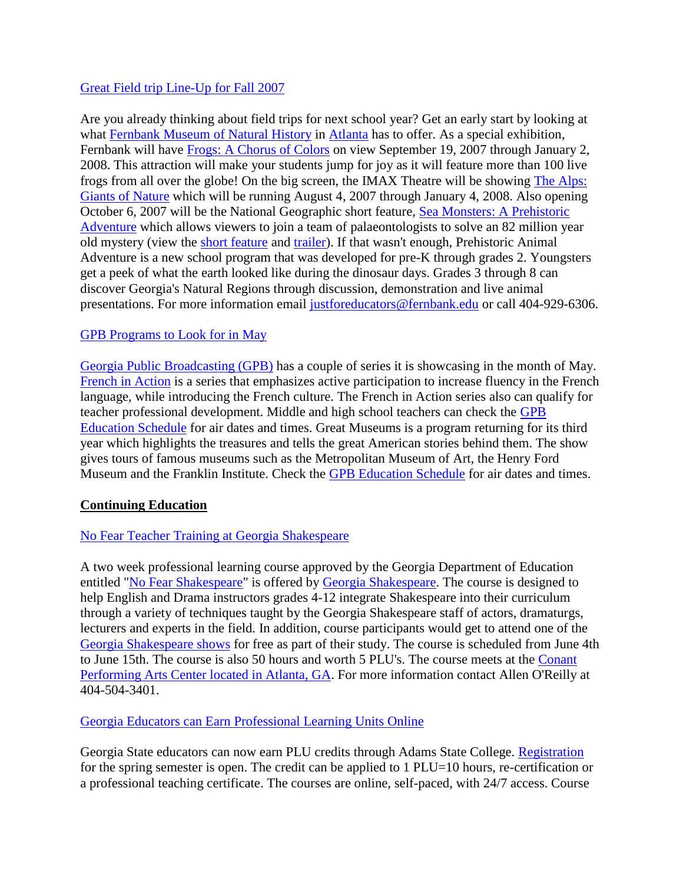#### [Great Field trip Line-Up for Fall 2007](http://www.fernbank.edu/museum/schoolprograms.html)

Are you already thinking about field trips for next school year? Get an early start by looking at what [Fernbank Museum of Natural History](http://www.fernbank.edu/museum/index.aspx) in [Atlanta](http://www.fernbank.edu/museum/direction.html) has to offer. As a special exhibition, Fernbank will have [Frogs: A Chorus of Colors](http://www.fernbank.edu/museum/specialexhibitions/frogs/index.html) on view September 19, 2007 through January 2, 2008. This attraction will make your students jump for joy as it will feature more than 100 live frogs from all over the globe! On the big screen, the IMAX Theatre will be showing [The Alps:](http://www.fernbank.edu/museum/imaxdetailcomingsoon.aspx?ID=3)  [Giants of Nature](http://www.fernbank.edu/museum/imaxdetailcomingsoon.aspx?ID=3) which will be running August 4, 2007 through January 4, 2008. Also opening October 6, 2007 will be the National Geographic short feature, [Sea Monsters: A Prehistoric](http://www.fernbank.edu/museum/imaxdetailcomingsoon.aspx?ID=4)  [Adventure](http://www.fernbank.edu/museum/imaxdetailcomingsoon.aspx?ID=4) which allows viewers to join a team of palaeontologists to solve an 82 million year old mystery (view the [short feature](http://www.nationalgeographic.com/giantscreenfilms/av/seamonster_featurette.asx) and [trailer\)](http://www.nationalgeographic.com/giantscreenfilms/av/seamonsters_trailer.asx). If that wasn't enough, Prehistoric Animal Adventure is a new school program that was developed for pre-K through grades 2. Youngsters get a peek of what the earth looked like during the dinosaur days. Grades 3 through 8 can discover Georgia's Natural Regions through discussion, demonstration and live animal presentations. For more information email [justforeducators@fernbank.edu](mailto:justforeducators@fernbank.edu) or call 404-929-6306.

#### [GPB Programs to Look for in May](http://www.gpb.org/public/education/pipeline.jsp?issueid=176&artid=852)

[Georgia Public Broadcasting \(GPB\)](http://www.gpb.org/public/) has a couple of series it is showcasing in the month of May. [French in Action](http://www.learner.org/resources/series83.html) is a series that emphasizes active participation to increase fluency in the French language, while introducing the French culture. The French in Action series also can qualify for teacher professional development. Middle and high school teachers can check the [GPB](http://www.gpb.org/public/education/schedule.jsp?f=program&d=FIA)  [Education Schedule](http://www.gpb.org/public/education/schedule.jsp?f=program&d=FIA) for air dates and times. Great Museums is a program returning for its third year which highlights the treasures and tells the great American stories behind them. The show gives tours of famous museums such as the Metropolitan Museum of Art, the Henry Ford Museum and the Franklin Institute. Check the [GPB Education Schedule](http://www.gpb.org/public/education/schedule.jsp?f=program&d=GRMU) for air dates and times.

#### **Continuing Education**

#### [No Fear Teacher Training at Georgia Shakespeare](http://www.gashakespeare.org/education_teacher.asp)

A two week professional learning course approved by the Georgia Department of Education entitled ["No Fear Shakespeare"](http://www.gashakespeare.org/education_teacher.asp) is offered by [Georgia Shakespeare.](http://www.gashakespeare.org/index.asp) The course is designed to help English and Drama instructors grades 4-12 integrate Shakespeare into their curriculum through a variety of techniques taught by the Georgia Shakespeare staff of actors, dramaturgs, lecturers and experts in the field. In addition, course participants would get to attend one of the [Georgia Shakespeare shows](http://www.gashakespeare.org/whatsplaying.asp) for free as part of their study. The course is scheduled from June 4th to June 15th. The course is also 50 hours and worth 5 PLU's. The course meets at the [Conant](http://www.gashakespeare.org/about_faq.asp#located)  [Performing Arts Center located in Atlanta, GA.](http://www.gashakespeare.org/about_faq.asp#located) For more information contact Allen O'Reilly at 404-504-3401.

[Georgia Educators can Earn Professional Learning Units Online](http://8.6.89.92/classroom/MASTER_CLIENT/MASTER_PORTAL/HOME.ASPX?MClientID=110)

Georgia State educators can now earn PLU credits through Adams State College. [Registration](http://8.6.89.92/classroom/MASTER_CLIENT/MASTER_PORTAL/HOME.ASPX?MClientID=110) for the spring semester is open. The credit can be applied to 1 PLU=10 hours, re-certification or a professional teaching certificate. The courses are online, self-paced, with 24/7 access. Course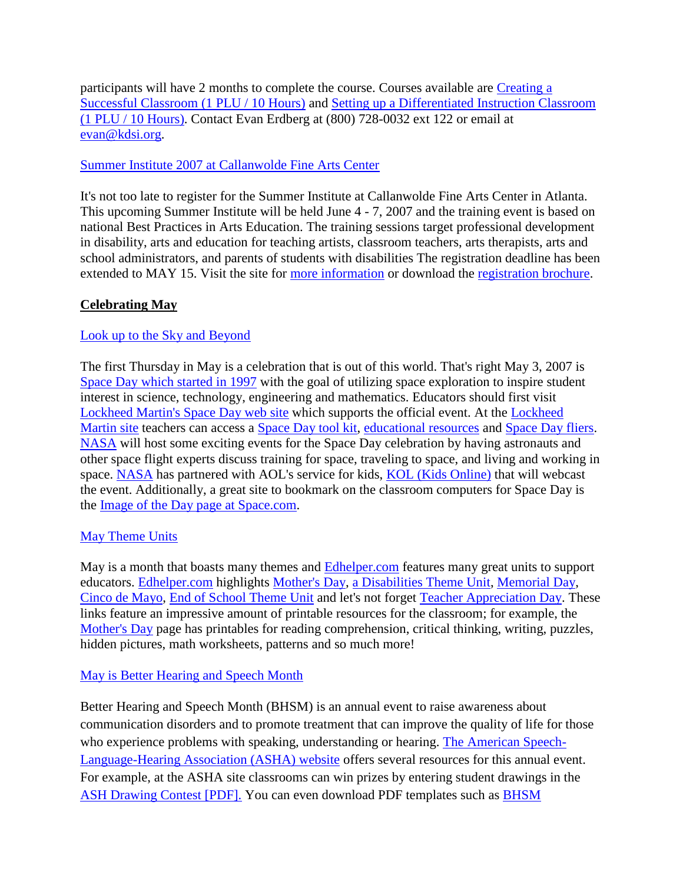participants will have 2 months to complete the course. Courses available are [Creating a](http://www.kdsi.org/ecom/default.aspx?MClientID=110)  [Successful Classroom \(1 PLU / 10 Hours\)](http://www.kdsi.org/ecom/default.aspx?MClientID=110) and [Setting up a Differentiated Instruction Classroom](http://www.kdsi.org/ecom/default.aspx?MClientID=110)  [\(1 PLU / 10 Hours\).](http://www.kdsi.org/ecom/default.aspx?MClientID=110) Contact Evan Erdberg at (800) 728-0032 ext 122 or email at [evan@kdsi.org.](mailto:evan@kdsi.org)

[Summer Institute 2007 at Callanwolde Fine Arts Center](http://vsaartsga.org/index/arts_programming/summer_institute)

It's not too late to register for the Summer Institute at Callanwolde Fine Arts Center in Atlanta. This upcoming Summer Institute will be held June 4 - 7, 2007 and the training event is based on national Best Practices in Arts Education. The training sessions target professional development in disability, arts and education for teaching artists, classroom teachers, arts therapists, arts and school administrators, and parents of students with disabilities The registration deadline has been extended to MAY 15. Visit the site for [more information](http://vsaartsga.org/index/arts_programming/summer_institute) or download the [registration brochure.](http://vsaartsga.org/images/AIR_GA/2007/2007_Summer_Institute_brochure.pdf)

# **Celebrating May**

#### [Look up to the Sky and Beyond](http://www.nasa.gov/audience/foreducators/k-4/features/F_Ready_for_Space_Day_2006.html)

The first Thursday in May is a celebration that is out of this world. That's right May 3, 2007 is [Space Day which started in 1997](http://www.nasa.gov/audience/foreducators/k-4/features/F_Ready_for_Space_Day_2006.html) with the goal of utilizing space exploration to inspire student interest in science, technology, engineering and mathematics. Educators should first visit [Lockheed Martin's Space Day web site](http://www.spaceday.org/index.html) which supports the official event. At the [Lockheed](http://www.spaceday.org/index.html)  [Martin site](http://www.spaceday.org/index.html) teachers can access a [Space Day tool kit,](http://www.spaceday.org/conmgmt/index.php?option=displaypage&Itemid=226&op=page&SubMenu=) [educational resources](http://www.spaceday.org/conmgmt/index.php?option=displaypage&Itemid=241&op=page&SubMenu=) and [Space Day fliers.](http://www.spaceday.org/conmgmt/index.php?option=displaypage&Itemid=58&op=page&SubMenu=) [NASA](http://www.nasa.gov/audience/foreducators/k-4/features/F_Ready_for_Space_Day_2006.html) will host some exciting events for the Space Day celebration by having astronauts and other space flight experts discuss training for space, traveling to space, and living and working in space. [NASA](http://www.nasa.gov/audience/foreducators/k-4/features/F_Ready_for_Space_Day_2006.html) has partnered with AOL's service for kids, [KOL \(Kids Online\)](http://kids.aol.com/at-school/expeditions/) that will webcast the event. Additionally, a great site to bookmark on the classroom computers for Space Day is the [Image of the Day page at Space.com.](http://www.space.com/imageoftheday/)

#### [May Theme Units](http://www.edhelper.com/May.htm)

May is a month that boasts many themes and **Edhelper.com** features many great units to support educators. [Edhelper.com](http://www.edhelper.com/) highlights [Mother's Day,](http://www.edhelper.com/MothersDay.htm) [a Disabilities Theme Unit,](http://www.edhelper.com/health_disability.htm) [Memorial Day,](http://www.edhelper.com/Memorial_Day.htm) [Cinco de Mayo,](http://www.edhelper.com/Cinco_de_Mayo.htm) [End of School Theme Unit](http://www.edhelper.com/end_of_school_year.htm) and let's not forget [Teacher Appreciation Day.](http://www.edhelper.com/Teacher_Appreciation_Day.htm) These links feature an impressive amount of printable resources for the classroom; for example, the [Mother's Day](http://www.edhelper.com/MothersDay.htm) page has printables for reading comprehension, critical thinking, writing, puzzles, hidden pictures, math worksheets, patterns and so much more!

#### [May is Better Hearing and Speech Month](http://asha.org/bhsm/)

Better Hearing and Speech Month (BHSM) is an annual event to raise awareness about communication disorders and to promote treatment that can improve the quality of life for those who experience problems with speaking, understanding or hearing. [The American Speech-](http://asha.org/)[Language-Hearing Association \(ASHA\) website](http://asha.org/) offers several resources for this annual event. For example, at the ASHA site classrooms can win prizes by entering student drawings in the [ASH Drawing Contest \[PDF\].](http://asha.org/NR/rdonlyres/AB0797C2-E168-46DB-A233-A6BF86C2ED28/0/BHSM_drawing_contest.pdf) You can even download PDF templates such as [BHSM](http://asha.org/NR/rdonlyres/F9D59A6A-D48D-4329-B383-C1829BDF3A5E/0/2007_BHSM_Bookmark.pdf)